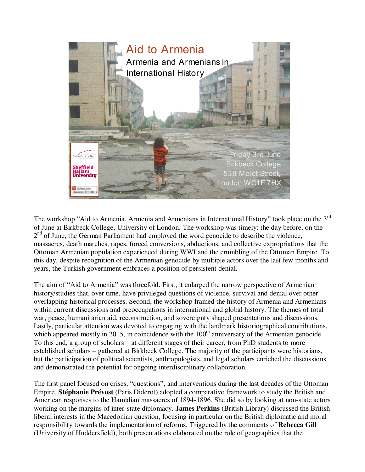

The workshop "Aid to Armenia. Armenia and Armenians in International History" took place on the 3<sup>rd</sup> of June at Birkbeck College, University of London. The workshop was timely: the day before, on the 2<sup>nd</sup> of June, the German Parliament had employed the word genocide to describe the violence, massacres, death marches, rapes, forced conversions, abductions, and collective expropriations that the Ottoman Armenian population experienced during WWI and the crumbling of the Ottoman Empire. To this day, despite recognition of the Armenian genocide by multiple actors over the last few months and years, the Turkish government embraces a position of persistent denial.

The aim of "Aid to Armenia" was threefold. First, it enlarged the narrow perspective of Armenian history/studies that, over time, have privileged questions of violence, survival and denial over other overlapping historical processes. Second, the workshop framed the history of Armenia and Armenians within current discussions and preoccupations in international and global history. The themes of total war, peace, humanitarian aid, reconstruction, and sovereignty shaped presentations and discussions. Lastly, particular attention was devoted to engaging with the landmark historiographical contributions, which appeared mostly in 2015, in coincidence with the  $100<sup>th</sup>$  anniversary of the Armenian genocide. To this end, a group of scholars – at different stages of their career, from PhD students to more established scholars – gathered at Birkbeck College. The majority of the participants were historians, but the participation of political scientists, anthropologists, and legal scholars enriched the discussions and demonstrated the potential for ongoing interdisciplinary collaboration.

The first panel focused on crises, "questions", and interventions during the last decades of the Ottoman Empire. **Stéphanie Prévost** (Paris Diderot) adopted a comparative framework to study the British and American responses to the Hamidian massacres of 1894-1896. She did so by looking at non-state actors working on the margins of inter-state diplomacy. **James Perkins** (British Library) discussed the British liberal interests in the Macedonian question, focusing in particular on the British diplomatic and moral responsibility towards the implementation of reforms. Triggered by the comments of **Rebecca Gill** (University of Huddersfield), both presentations elaborated on the role of geographies that the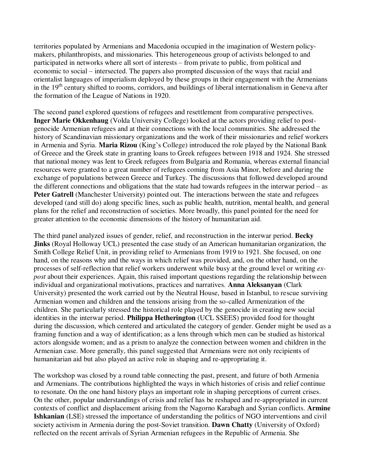territories populated by Armenians and Macedonia occupied in the imagination of Western policymakers, philanthropists, and missionaries. This heterogeneous group of activists belonged to and participated in networks where all sort of interests – from private to public, from political and economic to social – intersected. The papers also prompted discussion of the ways that racial and orientalist languages of imperialism deployed by these groups in their engagement with the Armenians in the  $19<sup>th</sup>$  century shifted to rooms, corridors, and buildings of liberal internationalism in Geneva after the formation of the League of Nations in 1920.

The second panel explored questions of refugees and resettlement from comparative perspectives. **Inger Marie Okkenhaug** (Volda University College) looked at the actors providing relief to postgenocide Armenian refugees and at their connections with the local communities. She addressed the history of Scandinavian missionary organizations and the work of their missionaries and relief workers in Armenia and Syria. **Maria Rizou** (King's College) introduced the role played by the National Bank of Greece and the Greek state in granting loans to Greek refugees between 1918 and 1924. She stressed that national money was lent to Greek refugees from Bulgaria and Romania, whereas external financial resources were granted to a great number of refugees coming from Asia Minor, before and during the exchange of populations between Greece and Turkey. The discussions that followed developed around the different connections and obligations that the state had towards refugees in the interwar period – as **Peter Gatrell** (Manchester University) pointed out. The interactions between the state and refugees developed (and still do) along specific lines, such as public health, nutrition, mental health, and general plans for the relief and reconstruction of societies. More broadly, this panel pointed for the need for greater attention to the economic dimensions of the history of humanitarian aid.

The third panel analyzed issues of gender, relief, and reconstruction in the interwar period. **Becky Jinks** (Royal Holloway UCL) presented the case study of an American humanitarian organization, the Smith College Relief Unit, in providing relief to Armenians from 1919 to 1921. She focused, on one hand, on the reasons why and the ways in which relief was provided, and, on the other hand, on the processes of self-reflection that relief workers underwent while busy at the ground level or writing *expost* about their experiences. Again, this raised important questions regarding the relationship between individual and organizational motivations, practices and narratives. **Anna Aleksanyan** (Clark University) presented the work carried out by the Neutral House, based in Istanbul, to rescue surviving Armenian women and children and the tensions arising from the so-called Armenization of the children. She particularly stressed the historical role played by the genocide in creating new social identities in the interwar period. **Philippa Hetherington** (UCL SSEES) provided food for thought during the discussion, which centered and articulated the category of gender. Gender might be used as a framing function and a way of identification; as a lens through which men can be studied as historical actors alongside women; and as a prism to analyze the connection between women and children in the Armenian case. More generally, this panel suggested that Armenians were not only recipients of humanitarian aid but also played an active role in shaping and re-appropriating it.

The workshop was closed by a round table connecting the past, present, and future of both Armenia and Armenians. The contributions highlighted the ways in which histories of crisis and relief continue to resonate. On the one hand history plays an important role in shaping perceptions of current crises. On the other, popular understandings of crisis and relief has be reshaped and re-appropriated in current contexts of conflict and displacement arising from the Nagorno Karabagh and Syrian conflicts. **Armine Ishkanian** (LSE) stressed the importance of understanding the politics of NGO interventions and civil society activism in Armenia during the post-Soviet transition. **Dawn Chatty** (University of Oxford) reflected on the recent arrivals of Syrian Armenian refugees in the Republic of Armenia. She